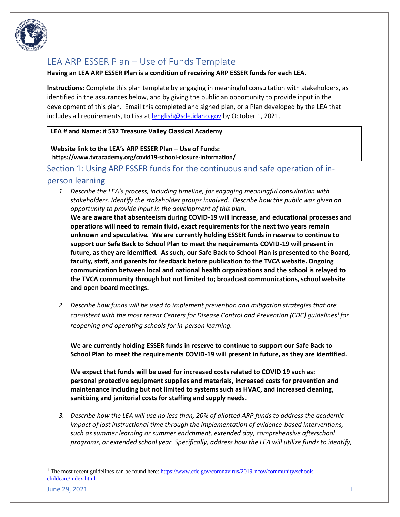

# LEA ARP ESSER Plan – Use of Funds Template

#### **Having an LEA ARP ESSER Plan is a condition of receiving ARP ESSER funds for each LEA.**

**Instructions:** Complete this plan template by engaging in meaningful consultation with stakeholders, as identified in the assurances below, and by giving the public an opportunity to provide input in the development of this plan. Email this completed and signed plan, or a Plan developed by the LEA that includes all requirements, to Lisa a[t lenglish@sde.idaho.gov](mailto:lenglish@sde.idaho.gov) by October 1, 2021.

#### **LEA # and Name: # 532 Treasure Valley Classical Academy**

**Website link to the LEA's ARP ESSER Plan – Use of Funds: https://www.tvcacademy.org/covid19-school-closure-information/**

### Section 1: Using ARP ESSER funds for the continuous and safe operation of in-

#### person learning

*1. Describe the LEA's process, including timeline, for engaging meaningful consultation with stakeholders. Identify the stakeholder groups involved. Describe how the public was given an opportunity to provide input in the development of this plan.* 

**We are aware that absenteeism during COVID-19 will increase, and educational processes and operations will need to remain fluid, exact requirements for the next two years remain unknown and speculative. We are currently holding ESSER funds in reserve to continue to support our Safe Back to School Plan to meet the requirements COVID-19 will present in future, as they are identified. As such, our Safe Back to School Plan is presented to the Board, faculty, staff, and parents for feedback before publication to the TVCA website. Ongoing communication between local and national health organizations and the school is relayed to the TVCA community through but not limited to; broadcast communications, school website and open board meetings.** 

*2. Describe how funds will be used to implement prevention and mitigation strategies that are consistent with the most recent Centers for Disease Control and Prevention (CDC) guidelines*<sup>1</sup> *for reopening and operating schools for in-person learning.*

**We are currently holding ESSER funds in reserve to continue to support our Safe Back to School Plan to meet the requirements COVID-19 will present in future, as they are identified.**

**We expect that funds will be used for increased costs related to COVID 19 such as: personal protective equipment supplies and materials, increased costs for prevention and maintenance including but not limited to systems such as HVAC, and increased cleaning, sanitizing and janitorial costs for staffing and supply needs.**

*3. Describe how the LEA will use no less than, 20% of allotted ARP funds to address the academic impact of lost instructional time through the implementation of evidence-based interventions, such as summer learning or summer enrichment, extended day, comprehensive afterschool programs, or extended school year. Specifically, address how the LEA will utilize funds to identify,* 

<sup>1</sup> The most recent guidelines can be found here: [https://www.cdc.gov/coronavirus/2019-ncov/community/schools](https://www.cdc.gov/coronavirus/2019-ncov/community/schools-childcare/index.html)[childcare/index.html](https://www.cdc.gov/coronavirus/2019-ncov/community/schools-childcare/index.html)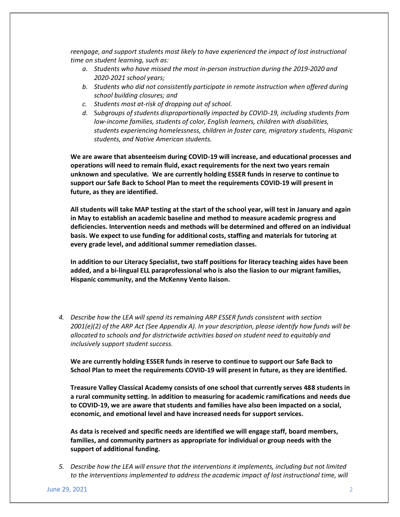*reengage, and support students most likely to have experienced the impact of lost instructional time on student learning, such as:*

- *a. Students who have missed the most in-person instruction during the 2019-2020 and 2020-2021 school years;*
- *b. Students who did not consistently participate in remote instruction when offered during school building closures; and*
- *c. Students most at-risk of dropping out of school.*
- *d.* S*ubgroups of students disproportionally impacted by COVID-19, including students from low-income families, students of color, English learners, children with disabilities, students experiencing homelessness, children in foster care, migratory students, Hispanic students, and Native American students.*

**We are aware that absenteeism during COVID-19 will increase, and educational processes and operations will need to remain fluid, exact requirements for the next two years remain unknown and speculative. We are currently holding ESSER funds in reserve to continue to support our Safe Back to School Plan to meet the requirements COVID-19 will present in future, as they are identified.** 

**All students will take MAP testing at the start of the school year, will test in January and again in May to establish an academic baseline and method to measure academic progress and deficiencies. Intervention needs and methods will be determined and offered on an individual basis. We expect to use funding for additional costs, staffing and materials for tutoring at every grade level, and additional summer remediation classes.**

**In addition to our Literacy Specialist, two staff positions for literacy teaching aides have been added, and a bi-lingual ELL paraprofessional who is also the liasion to our migrant families, Hispanic community, and the McKenny Vento liaison.** 

*4. Describe how the LEA will spend its remaining ARP ESSER funds consistent with section 2001(e)(2) of the ARP Act (See Appendix A). In your description, please identify how funds will be allocated to schools and for districtwide activities based on student need to equitably and inclusively support student success.* 

**We are currently holding ESSER funds in reserve to continue to support our Safe Back to School Plan to meet the requirements COVID-19 will present in future, as they are identified.** 

**Treasure Valley Classical Academy consists of one school that currently serves 488 students in a rural community setting. In addition to measuring for academic ramifications and needs due to COVID-19, we are aware that students and families have also been impacted on a social, economic, and emotional level and have increased needs for support services.**

**As data is received and specific needs are identified we will engage staff, board members, families, and community partners as appropriate for individual or group needs with the support of additional funding.** 

*5. Describe how the LEA will ensure that the interventions it implements, including but not limited to the interventions implemented to address the academic impact of lost instructional time, will*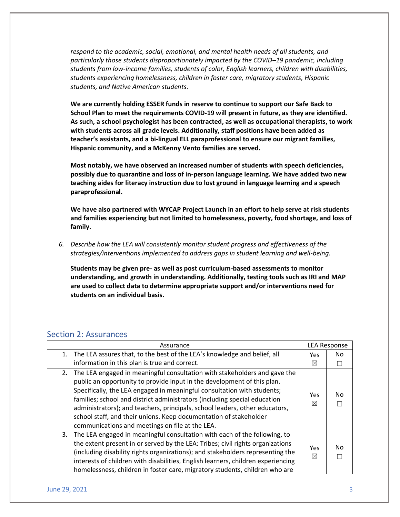*respond to the academic, social, emotional, and mental health needs of all students, and particularly those students disproportionately impacted by the COVID–19 pandemic, including students from low-income families, students of color, English learners, children with disabilities, students experiencing homelessness, children in foster care, migratory students, Hispanic students, and Native American students.* 

**We are currently holding ESSER funds in reserve to continue to support our Safe Back to School Plan to meet the requirements COVID-19 will present in future, as they are identified. As such, a school psychologist has been contracted, as well as occupational therapists, to work with students across all grade levels. Additionally, staff positions have been added as teacher's assistants, and a bi-lingual ELL paraprofessional to ensure our migrant families, Hispanic community, and a McKenny Vento families are served.** 

**Most notably, we have observed an increased number of students with speech deficiencies, possibly due to quarantine and loss of in-person language learning. We have added two new teaching aides for literacy instruction due to lost ground in language learning and a speech paraprofessional.**

**We have also partnered with WYCAP Project Launch in an effort to help serve at risk students and families experiencing but not limited to homelessness, poverty, food shortage, and loss of family.** 

*6. Describe how the LEA will consistently monitor student progress and effectiveness of the strategies/interventions implemented to address gaps in student learning and well-being.* 

**Students may be given pre- as well as post curriculum-based assessments to monitor understanding, and growth in understanding. Additionally, testing tools such as IRI and MAP are used to collect data to determine appropriate support and/or interventions need for students on an individual basis.** 

#### Section 2: Assurances

| Assurance                                                                                                                                                                                                                                                                                                                                                                                                                                                                                                                 | <b>LEA Response</b> |    |
|---------------------------------------------------------------------------------------------------------------------------------------------------------------------------------------------------------------------------------------------------------------------------------------------------------------------------------------------------------------------------------------------------------------------------------------------------------------------------------------------------------------------------|---------------------|----|
| The LEA assures that, to the best of the LEA's knowledge and belief, all<br>1.                                                                                                                                                                                                                                                                                                                                                                                                                                            | Yes                 | No |
| information in this plan is true and correct.                                                                                                                                                                                                                                                                                                                                                                                                                                                                             | ⊠                   |    |
| The LEA engaged in meaningful consultation with stakeholders and gave the<br>2.<br>public an opportunity to provide input in the development of this plan.<br>Specifically, the LEA engaged in meaningful consultation with students;<br>families; school and district administrators (including special education<br>administrators); and teachers, principals, school leaders, other educators,<br>school staff, and their unions. Keep documentation of stakeholder<br>communications and meetings on file at the LEA. | Yes<br>⊠            | No |
| The LEA engaged in meaningful consultation with each of the following, to<br>3.<br>the extent present in or served by the LEA: Tribes; civil rights organizations<br>(including disability rights organizations); and stakeholders representing the<br>interests of children with disabilities, English learners, children experiencing<br>homelessness, children in foster care, migratory students, children who are                                                                                                    | Yes<br>⊠            | No |